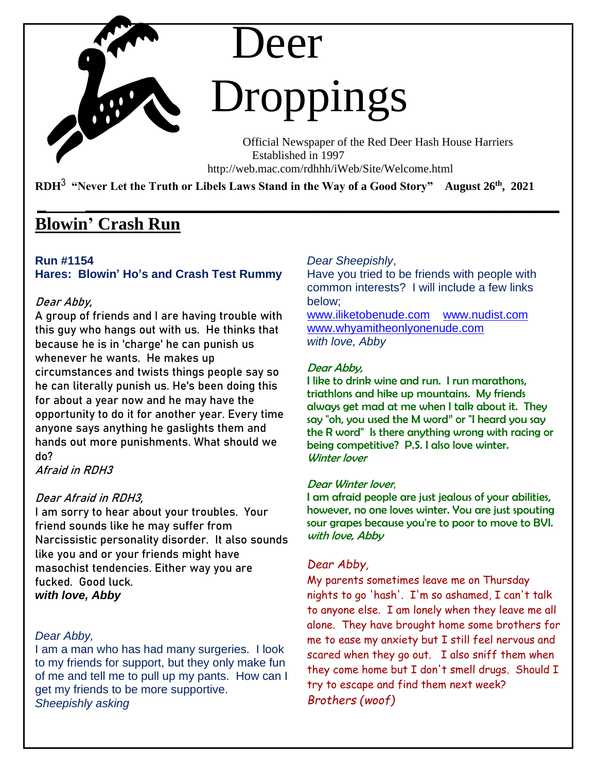# Deer Droppings

 Official Newspaper of the Red Deer Hash House Harriers Established in 1997 http://web.mac.com/rdhhh/iWeb/Site/Welcome.html

**RDH**3 **"Never Let the Truth or Libels Laws Stand in the Way of a Good Story" August 26th , 2021**

**\_ \_\_\_\_\_\_\_\_\_\_\_\_\_\_\_\_\_\_\_\_\_\_\_\_\_\_\_\_\_\_\_\_\_\_\_\_\_\_\_\_\_\_\_\_\_\_\_\_\_\_\_\_\_\_** 

# **Blowin' Crash Run**

# **Run #1154**

# **Hares: Blowin' Ho's and Crash Test Rummy**

# **Dear Abby,**

**A group of friends and I are having trouble with this guy who hangs out with us. He thinks that because he is in 'charge' he can punish us whenever he wants. He makes up circumstances and twists things people say so he can literally punish us. He's been doing this for about a year now and he may have the opportunity to do it for another year. Every time anyone says anything he gaslights them and hands out more punishments. What should we do?**

**Afraid in RDH3**

# **Dear Afraid in RDH3,**

**I am sorry to hear about your troubles. Your friend sounds like he may suffer from Narcissistic personality disorder. It also sounds like you and or your friends might have masochist tendencies. Either way you are fucked. Good luck.** *with love, Abby*

# *Dear Abby,*

I am a man who has had many surgeries. I look to my friends for support, but they only make fun of me and tell me to pull up my pants. How can I get my friends to be more supportive. *Sheepishly asking*

# *Dear Sheepishly*,

Have you tried to be friends with people with common interests? I will include a few links below;

[www.iliketobenude.com](http://www.iliketobenude.com/) [www.nudist.com](http://www.nudist.com/)  [www.whyamitheonlyonenude.com](http://www.whyamitheonlyonenude.com/) *with love, Abby*

## Dear Abby,

I like to drink wine and run. I run marathons, triathlons and hike up mountains. My friends always get mad at me when I talk about it. They say "oh, you used the M word" or "I heard you say the R word" Is there anything wrong with racing or being competitive? P.S. I also love winter. Winter lover

#### Dear Winter lover*,*

I am afraid people are just jealous of your abilities, however, no one loves winter. You are just spouting sour grapes because you're to poor to move to BVI. with love, Abby

# *Dear Abby,*

My parents sometimes leave me on Thursday nights to go 'hash'. I'm so ashamed, I can't talk to anyone else. I am lonely when they leave me all alone. They have brought home some brothers for me to ease my anxiety but I still feel nervous and scared when they go out. I also sniff them when they come home but I don't smell drugs. Should I try to escape and find them next week? *Brothers (woof)*